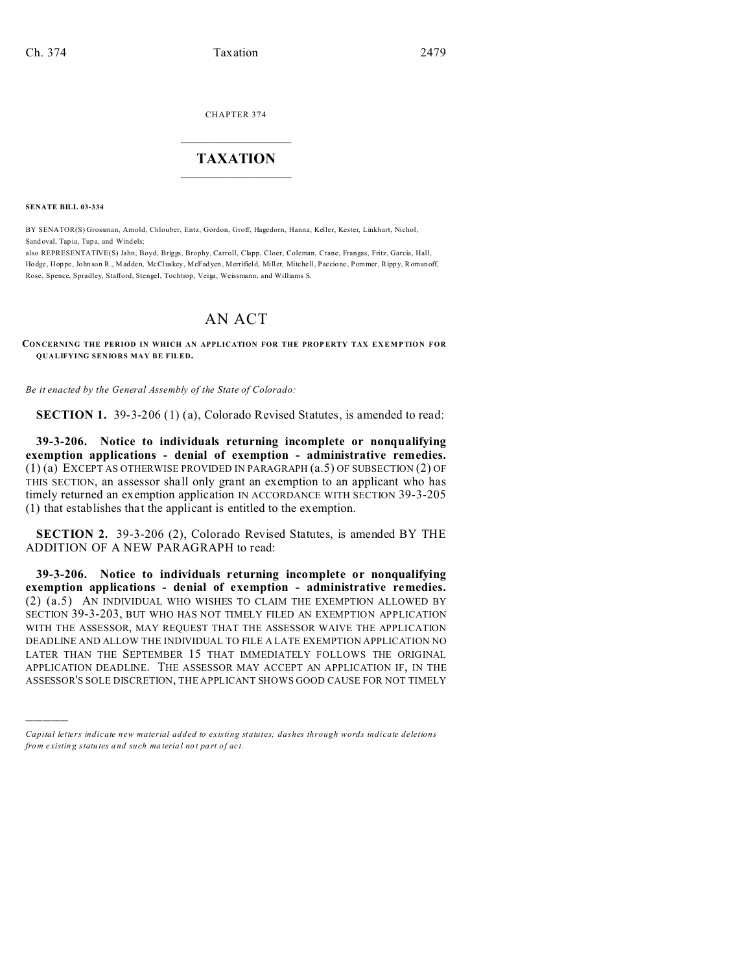CHAPTER 374  $\overline{\phantom{a}}$  , where  $\overline{\phantom{a}}$ 

## **TAXATION**  $\_$

**SENATE BILL 03-334**

)))))

BY SENATOR(S) Grossman, Arnold, Chlouber, Entz, Gordon, Groff, Hagedorn, Hanna, Keller, Kester, Linkhart, Nichol, Sand oval, Tap ia, Tupa, and Windels;

also REPRESENTATIVE(S) Jahn, Boyd, Briggs, Brophy, Carroll, Clapp, Cloer, Coleman, Crane, Frangas, Fritz, Garcia, Hall, Hodge, Hop pe, John son R., M adden, McCluskey, McFadyen , Merrifield, Miller, Mitchell, Paccione, Pommer, Ripp y, Romanoff, Rose, Spence, Spradley, Stafford, Stengel, Tochtrop, Veiga, Weissmann, and Williams S.

## AN ACT

**CONCERNING THE PERIOD IN WHICH AN APPLICATION FOR THE PROPERTY TAX EXEMPTIO N FOR QUALIFYING SENIORS MAY BE FILED.**

*Be it enacted by the General Assembly of the State of Colorado:*

**SECTION 1.** 39-3-206 (1) (a), Colorado Revised Statutes, is amended to read:

**39-3-206. Notice to individuals returning incomplete or nonqualifying exemption applications - denial of exemption - administrative remedies.**  $(1)$  (a) EXCEPT AS OTHERWISE PROVIDED IN PARAGRAPH  $(a.5)$  OF SUBSECTION  $(2)$  OF THIS SECTION, an assessor shall only grant an exemption to an applicant who has timely returned an exemption application IN ACCORDANCE WITH SECTION 39-3-205 (1) that establishes that the applicant is entitled to the exemption.

**SECTION 2.** 39-3-206 (2), Colorado Revised Statutes, is amended BY THE ADDITION OF A NEW PARAGRAPH to read:

**39-3-206. Notice to individuals returning incomplete or nonqualifying exemption applications - denial of exemption - administrative remedies.** (2) (a.5) AN INDIVIDUAL WHO WISHES TO CLAIM THE EXEMPTION ALLOWED BY SECTION 39-3-203, BUT WHO HAS NOT TIMELY FILED AN EXEMPTION APPLICATION WITH THE ASSESSOR, MAY REQUEST THAT THE ASSESSOR WAIVE THE APPLICATION DEADLINE AND ALLOW THE INDIVIDUAL TO FILE A LATE EXEMPTION APPLICATION NO LATER THAN THE SEPTEMBER 15 THAT IMMEDIATELY FOLLOWS THE ORIGINAL APPLICATION DEADLINE. THE ASSESSOR MAY ACCEPT AN APPLICATION IF, IN THE ASSESSOR'S SOLE DISCRETION, THE APPLICANT SHOWS GOOD CAUSE FOR NOT TIMELY

*Capital letters indicate new material added to existing statutes; dashes through words indicate deletions from e xistin g statu tes a nd such ma teria l no t pa rt of ac t.*